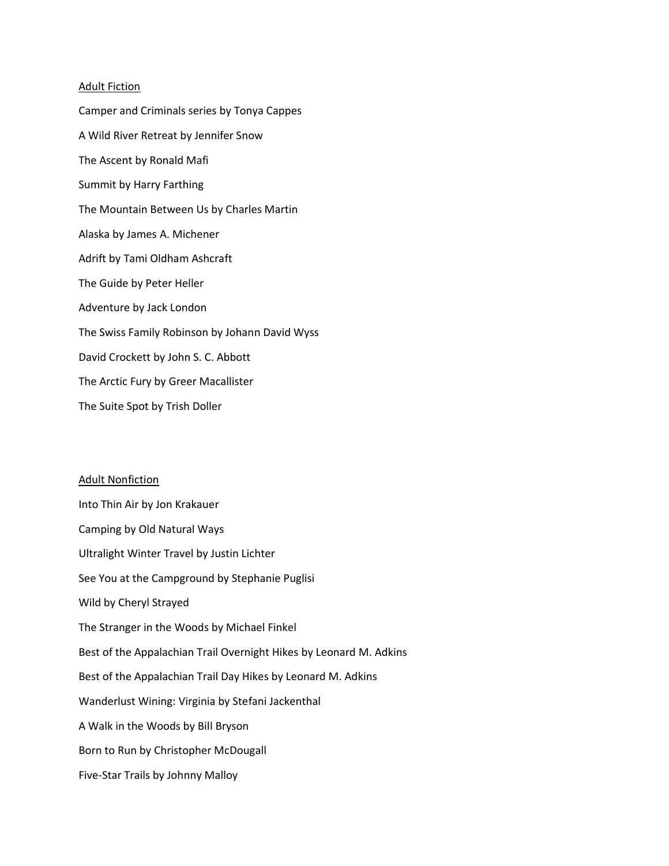## Adult Fiction

Camper and Criminals series by Tonya Cappes A Wild River Retreat by Jennifer Snow The Ascent by Ronald Mafi Summit by Harry Farthing The Mountain Between Us by Charles Martin Alaska by James A. Michener Adrift by Tami Oldham Ashcraft The Guide by Peter Heller Adventure by Jack London The Swiss Family Robinson by Johann David Wyss David Crockett by John S. C. Abbott The Arctic Fury by Greer Macallister The Suite Spot by Trish Doller

## Adult Nonfiction

Into Thin Air by Jon Krakauer Camping by Old Natural Ways Ultralight Winter Travel by Justin Lichter See You at the Campground by Stephanie Puglisi Wild by Cheryl Strayed The Stranger in the Woods by Michael Finkel Best of the Appalachian Trail Overnight Hikes by Leonard M. Adkins Best of the Appalachian Trail Day Hikes by Leonard M. Adkins Wanderlust Wining: Virginia by Stefani Jackenthal A Walk in the Woods by Bill Bryson Born to Run by Christopher McDougall Five-Star Trails by Johnny Malloy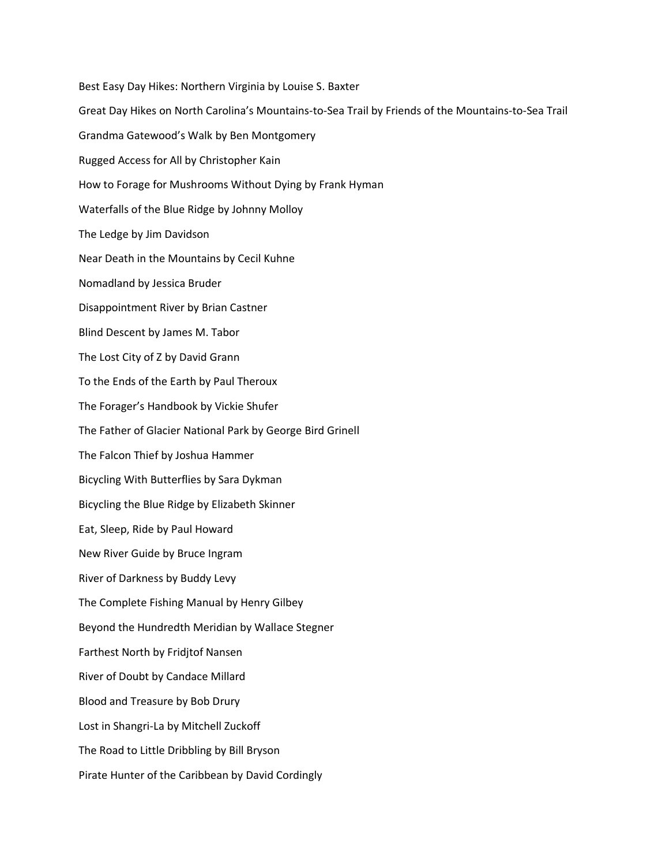Best Easy Day Hikes: Northern Virginia by Louise S. Baxter Great Day Hikes on North Carolina's Mountains-to-Sea Trail by Friends of the Mountains-to-Sea Trail Grandma Gatewood's Walk by Ben Montgomery Rugged Access for All by Christopher Kain How to Forage for Mushrooms Without Dying by Frank Hyman Waterfalls of the Blue Ridge by Johnny Molloy The Ledge by Jim Davidson Near Death in the Mountains by Cecil Kuhne Nomadland by Jessica Bruder Disappointment River by Brian Castner Blind Descent by James M. Tabor The Lost City of Z by David Grann To the Ends of the Earth by Paul Theroux The Forager's Handbook by Vickie Shufer The Father of Glacier National Park by George Bird Grinell The Falcon Thief by Joshua Hammer Bicycling With Butterflies by Sara Dykman Bicycling the Blue Ridge by Elizabeth Skinner Eat, Sleep, Ride by Paul Howard New River Guide by Bruce Ingram River of Darkness by Buddy Levy The Complete Fishing Manual by Henry Gilbey Beyond the Hundredth Meridian by Wallace Stegner Farthest North by Fridjtof Nansen River of Doubt by Candace Millard Blood and Treasure by Bob Drury Lost in Shangri-La by Mitchell Zuckoff The Road to Little Dribbling by Bill Bryson Pirate Hunter of the Caribbean by David Cordingly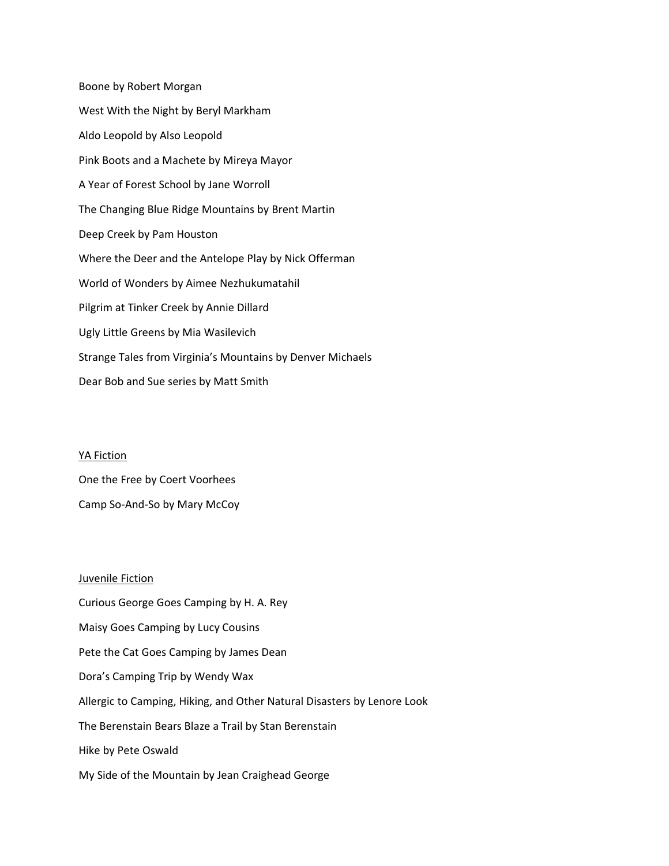Boone by Robert Morgan West With the Night by Beryl Markham Aldo Leopold by Also Leopold Pink Boots and a Machete by Mireya Mayor A Year of Forest School by Jane Worroll The Changing Blue Ridge Mountains by Brent Martin Deep Creek by Pam Houston Where the Deer and the Antelope Play by Nick Offerman World of Wonders by Aimee Nezhukumatahil Pilgrim at Tinker Creek by Annie Dillard Ugly Little Greens by Mia Wasilevich Strange Tales from Virginia's Mountains by Denver Michaels Dear Bob and Sue series by Matt Smith

YA Fiction

One the Free by Coert Voorhees Camp So-And-So by Mary McCoy

## Juvenile Fiction

Curious George Goes Camping by H. A. Rey Maisy Goes Camping by Lucy Cousins Pete the Cat Goes Camping by James Dean Dora's Camping Trip by Wendy Wax Allergic to Camping, Hiking, and Other Natural Disasters by Lenore Look The Berenstain Bears Blaze a Trail by Stan Berenstain Hike by Pete Oswald My Side of the Mountain by Jean Craighead George